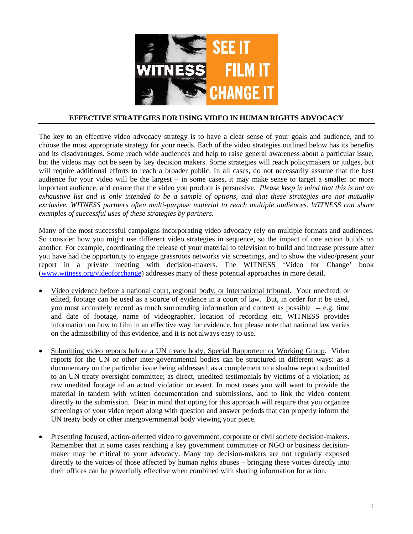

## **EFFECTIVE STRATEGIES FOR USING VIDEO IN HUMAN RIGHTS ADVOCACY**

The key to an effective video advocacy strategy is to have a clear sense of your goals and audience, and to choose the most appropriate strategy for your needs. Each of the video strategies outlined below has its benefits and its disadvantages. Some reach wide audiences and help to raise general awareness about a particular issue, but the videos may not be seen by key decision makers. Some strategies will reach policymakers or judges, but will require additional efforts to reach a broader public. In all cases, do not necessarily assume that the best audience for your video will be the largest – in some cases, it may make sense to target a smaller or more important audience, and ensure that the video you produce is persuasive. *Please keep in mind that this is not an exhaustive list and is only intended to be a sample of options, and that these strategies are not mutually exclusive. WITNESS partners often multi-purpose material to reach multiple audiences. WITNESS can share examples of successful uses of these strategies by partners.* 

Many of the most successful campaigns incorporating video advocacy rely on multiple formats and audiences. So consider how you might use different video strategies in sequence, so the impact of one action builds on another. For example, coordinating the release of your material to television to build and increase pressure after you have had the opportunity to engage grassroots networks via screenings, and to show the video/present your report in a private meeting with decision-makers. The WITNESS 'Video for Change' book (www.witness.org/videoforchange) addresses many of these potential approaches in more detail.

- Video evidence before a national court, regional body, or international tribunal. Your unedited, or edited, footage can be used as a source of evidence in a court of law. But, in order for it be used, you must accurately record as much surrounding information and context as possible -- e.g. time and date of footage, name of videographer, location of recording etc. WITNESS provides information on how to film in an effective way for evidence, but please note that national law varies on the admissibility of this evidence, and it is not always easy to use.
- Submitting video reports before a UN treaty body, Special Rapporteur or Working Group. Video reports for the UN or other inter-governmental bodies can be structured in different ways: as a documentary on the particular issue being addressed; as a complement to a shadow report submitted to an UN treaty oversight committee; as direct, unedited testimonials by victims of a violation; as raw unedited footage of an actual violation or event. In most cases you will want to provide the material in tandem with written documentation and submissions, and to link the video content directly to the submission. Bear in mind that opting for this approach will require that you organize screenings of your video report along with question and answer periods that can properly inform the UN treaty body or other intergovernmental body viewing your piece.
- Presenting focused, action-oriented video to government, corporate or civil society decision-makers. Remember that in some cases reaching a key government committee or NGO or business decisionmaker may be critical to your advocacy. Many top decision-makers are not regularly exposed directly to the voices of those affected by human rights abuses – bringing these voices directly into their offices can be powerfully effective when combined with sharing information for action.